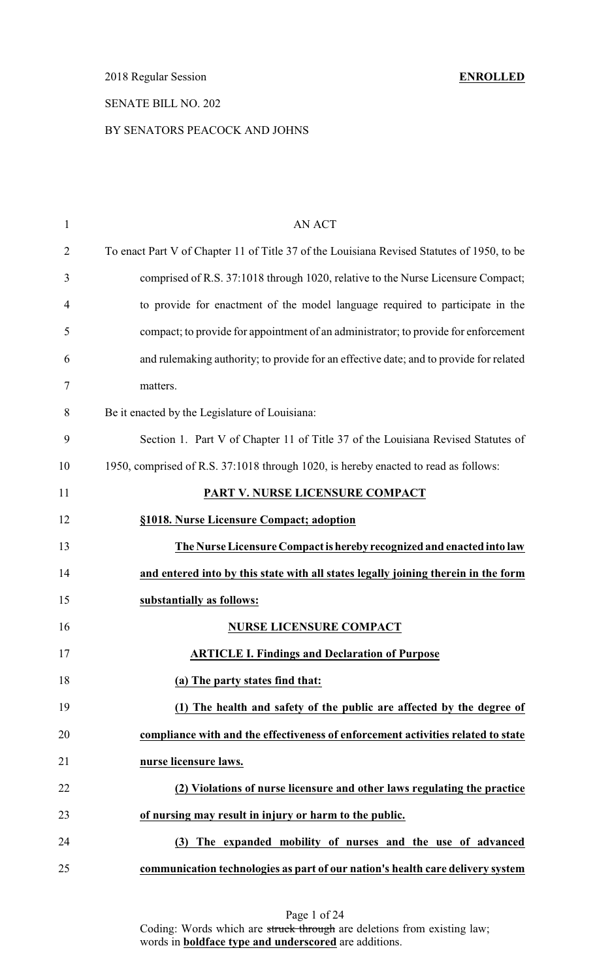2018 Regular Session **ENROLLED**

# SENATE BILL NO. 202

## BY SENATORS PEACOCK AND JOHNS

| $\mathbf{1}$   | <b>AN ACT</b>                                                                              |
|----------------|--------------------------------------------------------------------------------------------|
| $\overline{2}$ | To enact Part V of Chapter 11 of Title 37 of the Louisiana Revised Statutes of 1950, to be |
| 3              | comprised of R.S. 37:1018 through 1020, relative to the Nurse Licensure Compact;           |
| 4              | to provide for enactment of the model language required to participate in the              |
| 5              | compact; to provide for appointment of an administrator; to provide for enforcement        |
| 6              | and rulemaking authority; to provide for an effective date; and to provide for related     |
| 7              | matters.                                                                                   |
| $8\,$          | Be it enacted by the Legislature of Louisiana:                                             |
| 9              | Section 1. Part V of Chapter 11 of Title 37 of the Louisiana Revised Statutes of           |
| 10             | 1950, comprised of R.S. 37:1018 through 1020, is hereby enacted to read as follows:        |
| 11             | PART V. NURSE LICENSURE COMPACT                                                            |
| 12             | §1018. Nurse Licensure Compact; adoption                                                   |
| 13             | The Nurse Licensure Compact is hereby recognized and enacted into law                      |
| 14             | and entered into by this state with all states legally joining therein in the form         |
| 15             | substantially as follows:                                                                  |
| 16             | <b>NURSE LICENSURE COMPACT</b>                                                             |
| 17             | <b>ARTICLE I. Findings and Declaration of Purpose</b>                                      |
| 18             | (a) The party states find that:                                                            |
| 19             | (1) The health and safety of the public are affected by the degree of                      |
| 20             | compliance with and the effectiveness of enforcement activities related to state           |
| 21             | nurse licensure laws.                                                                      |
| 22             | (2) Violations of nurse licensure and other laws regulating the practice                   |
| 23             | of nursing may result in injury or harm to the public.                                     |
| 24             | (3) The expanded mobility of nurses and the use of advanced                                |
| 25             | communication technologies as part of our nation's health care delivery system             |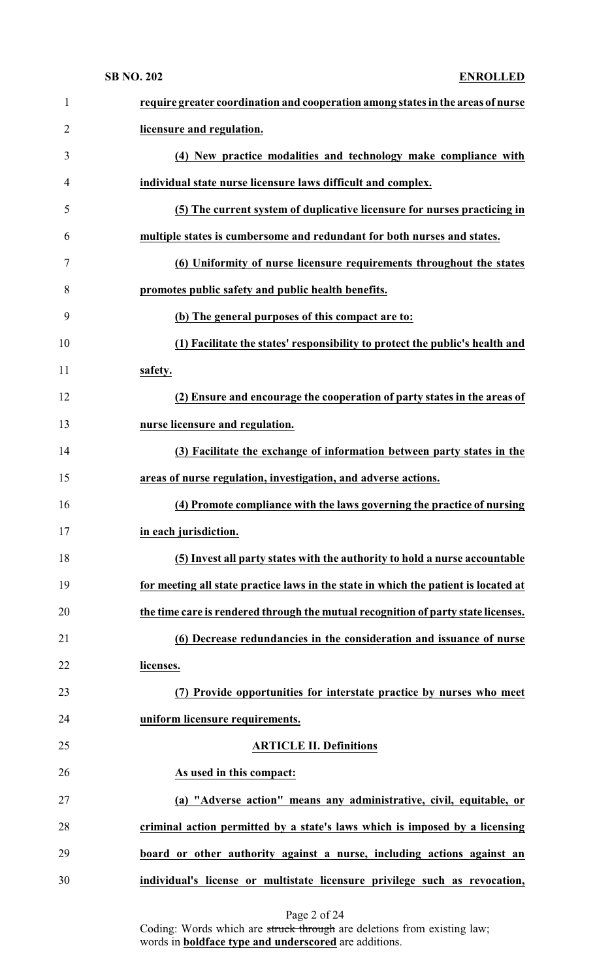| $\mathbf{1}$   | require greater coordination and cooperation among states in the areas of nurse     |
|----------------|-------------------------------------------------------------------------------------|
| $\overline{2}$ | licensure and regulation.                                                           |
| 3              | (4) New practice modalities and technology make compliance with                     |
| $\overline{4}$ | individual state nurse licensure laws difficult and complex.                        |
| 5              | (5) The current system of duplicative licensure for nurses practicing in            |
| 6              | multiple states is cumbersome and redundant for both nurses and states.             |
| 7              | (6) Uniformity of nurse licensure requirements throughout the states                |
| 8              | promotes public safety and public health benefits.                                  |
| 9              | (b) The general purposes of this compact are to:                                    |
| 10             | (1) Facilitate the states' responsibility to protect the public's health and        |
| 11             | safety.                                                                             |
| 12             | (2) Ensure and encourage the cooperation of party states in the areas of            |
| 13             | nurse licensure and regulation.                                                     |
| 14             | (3) Facilitate the exchange of information between party states in the              |
| 15             | areas of nurse regulation, investigation, and adverse actions.                      |
| 16             | (4) Promote compliance with the laws governing the practice of nursing              |
| 17             | in each jurisdiction.                                                               |
| 18             | (5) Invest all party states with the authority to hold a nurse accountable          |
| 19             | for meeting all state practice laws in the state in which the patient is located at |
| 20             | the time care is rendered through the mutual recognition of party state licenses.   |
| 21             | (6) Decrease redundancies in the consideration and issuance of nurse                |
| 22             | licenses.                                                                           |
| 23             | (7) Provide opportunities for interstate practice by nurses who meet                |
| 24             | uniform licensure requirements.                                                     |
| 25             | <b>ARTICLE II. Definitions</b>                                                      |
| 26             | As used in this compact:                                                            |
| 27             | (a) "Adverse action" means any administrative, civil, equitable, or                 |
| 28             | criminal action permitted by a state's laws which is imposed by a licensing         |
| 29             | board or other authority against a nurse, including actions against an              |
| 30             | individual's license or multistate licensure privilege such as revocation,          |

| Page 2 of 24 |  |  |
|--------------|--|--|
|              |  |  |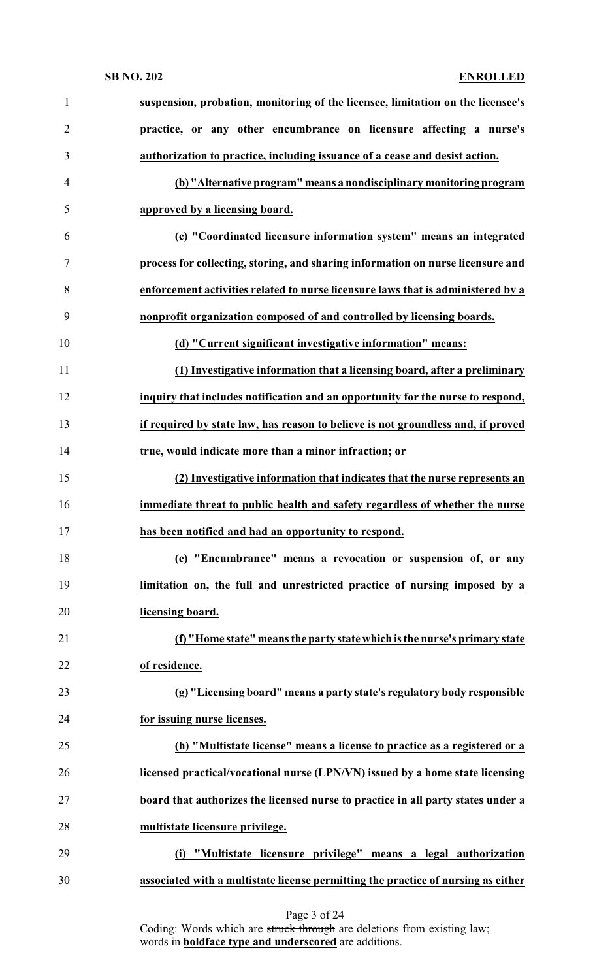| $\mathbf{1}$   | suspension, probation, monitoring of the licensee, limitation on the licensee's   |
|----------------|-----------------------------------------------------------------------------------|
| $\overline{2}$ | practice, or any other encumbrance on licensure affecting a nurse's               |
| 3              | authorization to practice, including issuance of a cease and desist action.       |
| $\overline{4}$ | (b) "Alternative program" means a nondisciplinary monitoring program              |
| 5              | approved by a licensing board.                                                    |
| 6              | (c) "Coordinated licensure information system" means an integrated                |
| $\tau$         | process for collecting, storing, and sharing information on nurse licensure and   |
| 8              | enforcement activities related to nurse licensure laws that is administered by a  |
| 9              | nonprofit organization composed of and controlled by licensing boards.            |
| 10             | (d) "Current significant investigative information" means:                        |
| 11             | (1) Investigative information that a licensing board, after a preliminary         |
| 12             | inquiry that includes notification and an opportunity for the nurse to respond,   |
| 13             | if required by state law, has reason to believe is not groundless and, if proved  |
| 14             | true, would indicate more than a minor infraction; or                             |
| 15             | (2) Investigative information that indicates that the nurse represents an         |
| 16             | immediate threat to public health and safety regardless of whether the nurse      |
| 17             | has been notified and had an opportunity to respond.                              |
| 18             | (e) "Encumbrance" means a revocation or suspension of, or any                     |
| 19             | limitation on, the full and unrestricted practice of nursing imposed by a         |
| 20             | licensing board.                                                                  |
| 21             | (f) "Home state" means the party state which is the nurse's primary state         |
| 22             | of residence.                                                                     |
| 23             | (g) "Licensing board" means a party state's regulatory body responsible           |
| 24             | for issuing nurse licenses.                                                       |
| 25             | (h) "Multistate license" means a license to practice as a registered or a         |
| 26             | licensed practical/vocational nurse (LPN/VN) issued by a home state licensing     |
| 27             | board that authorizes the licensed nurse to practice in all party states under a  |
| 28             | multistate licensure privilege.                                                   |
| 29             | "Multistate licensure privilege" means a legal authorization<br>(i)               |
| 30             | associated with a multistate license permitting the practice of nursing as either |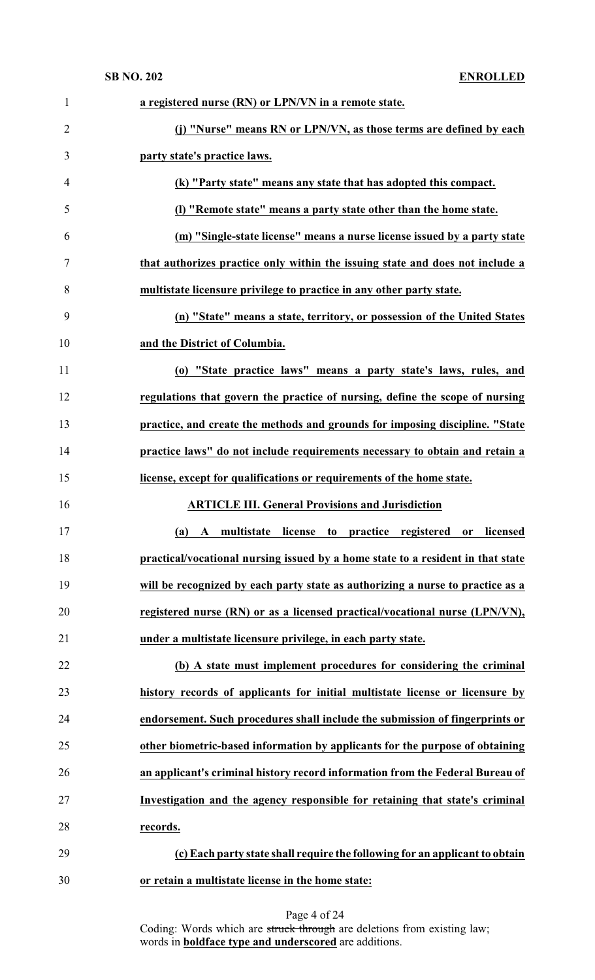| $\mathbf{1}$   | a registered nurse (RN) or LPN/VN in a remote state.                            |
|----------------|---------------------------------------------------------------------------------|
| $\overline{2}$ | (j) "Nurse" means RN or LPN/VN, as those terms are defined by each              |
| 3              | party state's practice laws.                                                    |
| 4              | (k) "Party state" means any state that has adopted this compact.                |
| 5              | (I) "Remote state" means a party state other than the home state.               |
| 6              | (m) "Single-state license" means a nurse license issued by a party state        |
| 7              | that authorizes practice only within the issuing state and does not include a   |
| 8              | multistate licensure privilege to practice in any other party state.            |
| 9              | (n) "State" means a state, territory, or possession of the United States        |
| 10             | and the District of Columbia.                                                   |
| 11             | (o) "State practice laws" means a party state's laws, rules, and                |
| 12             | regulations that govern the practice of nursing, define the scope of nursing    |
| 13             | practice, and create the methods and grounds for imposing discipline. "State    |
| 14             | practice laws" do not include requirements necessary to obtain and retain a     |
| 15             | license, except for qualifications or requirements of the home state.           |
| 16             | <b>ARTICLE III. General Provisions and Jurisdiction</b>                         |
| 17             | (a) A multistate license to practice registered or licensed                     |
| 18             | practical/vocational nursing issued by a home state to a resident in that state |
| 19             | will be recognized by each party state as authorizing a nurse to practice as a  |
| 20             | registered nurse (RN) or as a licensed practical/vocational nurse (LPN/VN),     |
| 21             | under a multistate licensure privilege, in each party state.                    |
| 22             | (b) A state must implement procedures for considering the criminal              |
| 23             | history records of applicants for initial multistate license or licensure by    |
| 24             | endorsement. Such procedures shall include the submission of fingerprints or    |
| 25             | other biometric-based information by applicants for the purpose of obtaining    |
| 26             | an applicant's criminal history record information from the Federal Bureau of   |
| 27             | Investigation and the agency responsible for retaining that state's criminal    |
| 28             | records.                                                                        |
| 29             | (c) Each party state shall require the following for an applicant to obtain     |
| 30             | or retain a multistate license in the home state:                               |

| Page 4 of 24                                                            |  |
|-------------------------------------------------------------------------|--|
| Coding: Words which are struck through are deletions from existing law; |  |
| words in <b>boldface</b> type and <b>underscored</b> are additions.     |  |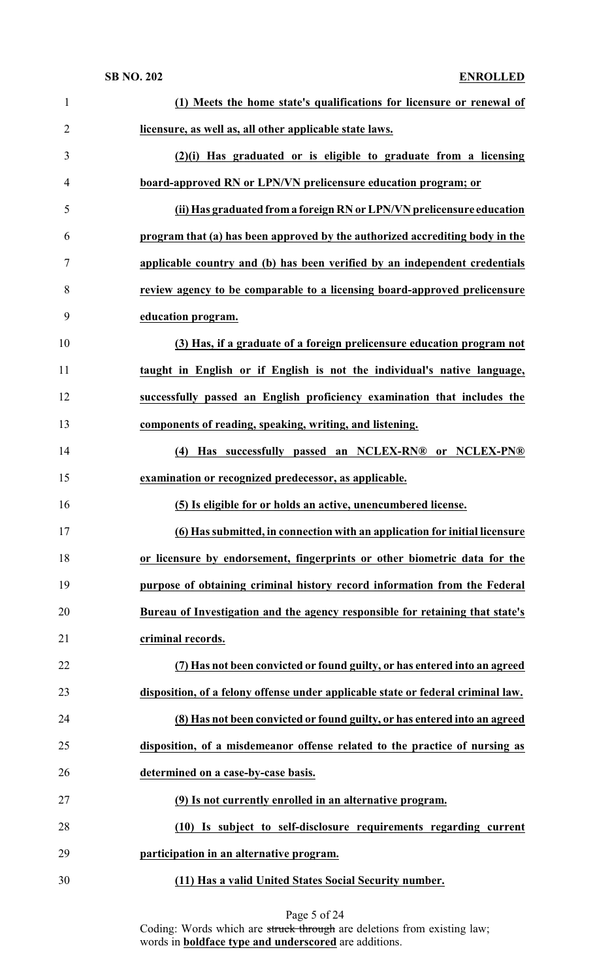| $\mathbf{1}$   | (1) Meets the home state's qualifications for licensure or renewal of            |
|----------------|----------------------------------------------------------------------------------|
| $\overline{2}$ | licensure, as well as, all other applicable state laws.                          |
| 3              | (2)(i) Has graduated or is eligible to graduate from a licensing                 |
| 4              | board-approved RN or LPN/VN prelicensure education program; or                   |
| 5              | (ii) Has graduated from a foreign RN or LPN/VN prelicensure education            |
| 6              | program that (a) has been approved by the authorized accrediting body in the     |
| $\tau$         | applicable country and (b) has been verified by an independent credentials       |
| 8              | review agency to be comparable to a licensing board-approved prelicensure        |
| 9              | education program.                                                               |
| 10             | (3) Has, if a graduate of a foreign prelicensure education program not           |
| 11             | taught in English or if English is not the individual's native language,         |
| 12             | successfully passed an English proficiency examination that includes the         |
| 13             | components of reading, speaking, writing, and listening.                         |
| 14             | (4) Has successfully passed an NCLEX-RN® or NCLEX-PN®                            |
| 15             | examination or recognized predecessor, as applicable.                            |
| 16             | (5) Is eligible for or holds an active, unencumbered license.                    |
| 17             | (6) Has submitted, in connection with an application for initial licensure       |
| 18             | or licensure by endorsement, fingerprints or other biometric data for the        |
| 19             | purpose of obtaining criminal history record information from the Federal        |
| 20             | Bureau of Investigation and the agency responsible for retaining that state's    |
| 21             | criminal records.                                                                |
| 22             | (7) Has not been convicted or found guilty, or has entered into an agreed        |
| 23             | disposition, of a felony offense under applicable state or federal criminal law. |
| 24             | (8) Has not been convicted or found guilty, or has entered into an agreed        |
| 25             | disposition, of a misdemeanor offense related to the practice of nursing as      |
| 26             | determined on a case-by-case basis.                                              |
| 27             | (9) Is not currently enrolled in an alternative program.                         |
| 28             | (10) Is subject to self-disclosure requirements regarding current                |
| 29             | participation in an alternative program.                                         |
| 30             | (11) Has a valid United States Social Security number.                           |

### Page 5 of 24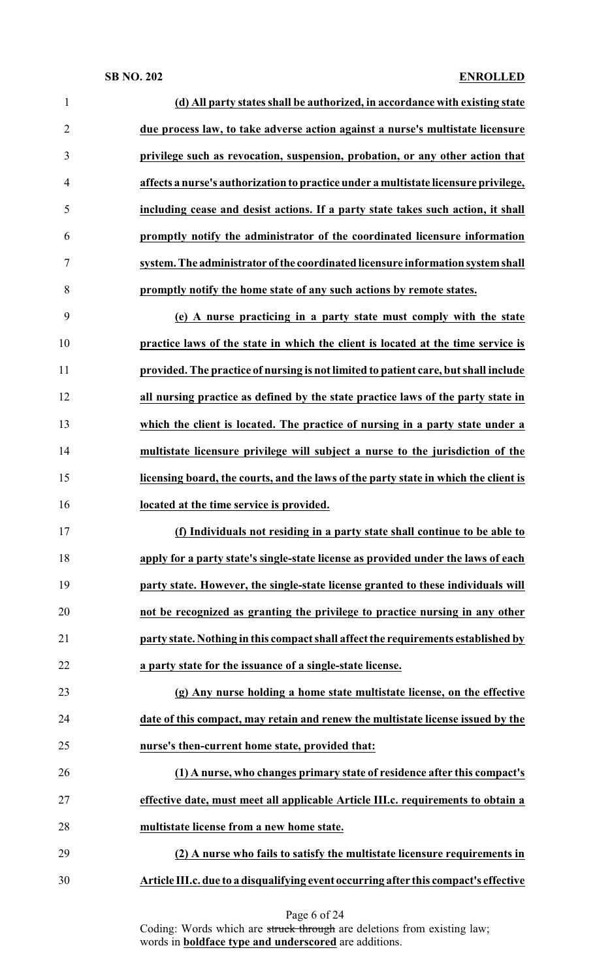| $\mathbf{1}$   | (d) All party states shall be authorized, in accordance with existing state         |
|----------------|-------------------------------------------------------------------------------------|
| $\overline{2}$ | due process law, to take adverse action against a nurse's multistate licensure      |
| 3              | privilege such as revocation, suspension, probation, or any other action that       |
| 4              | affects a nurse's authorization to practice under a multistate licensure privilege, |
| 5              | including cease and desist actions. If a party state takes such action, it shall    |
| 6              | promptly notify the administrator of the coordinated licensure information          |
| 7              | system. The administrator of the coordinated licensure information system shall     |
| 8              | promptly notify the home state of any such actions by remote states.                |
| 9              | (e) A nurse practicing in a party state must comply with the state                  |
| 10             | practice laws of the state in which the client is located at the time service is    |
| 11             | provided. The practice of nursing is not limited to patient care, but shall include |
| 12             | all nursing practice as defined by the state practice laws of the party state in    |
| 13             | which the client is located. The practice of nursing in a party state under a       |
| 14             | multistate licensure privilege will subject a nurse to the jurisdiction of the      |
| 15             | licensing board, the courts, and the laws of the party state in which the client is |
|                |                                                                                     |
| 16             | located at the time service is provided.                                            |
| 17             | (f) Individuals not residing in a party state shall continue to be able to          |
| 18             | apply for a party state's single-state license as provided under the laws of each   |
| 19             | party state. However, the single-state license granted to these individuals will    |
| 20             | not be recognized as granting the privilege to practice nursing in any other        |
| 21             | party state. Nothing in this compact shall affect the requirements established by   |
| 22             | a party state for the issuance of a single-state license.                           |
| 23             | (g) Any nurse holding a home state multistate license, on the effective             |
| 24             | date of this compact, may retain and renew the multistate license issued by the     |
| 25             | nurse's then-current home state, provided that:                                     |
| 26             | (1) A nurse, who changes primary state of residence after this compact's            |
| 27             | effective date, must meet all applicable Article III.c. requirements to obtain a    |
| 28             | multistate license from a new home state.                                           |
| 29             | (2) A nurse who fails to satisfy the multistate licensure requirements in           |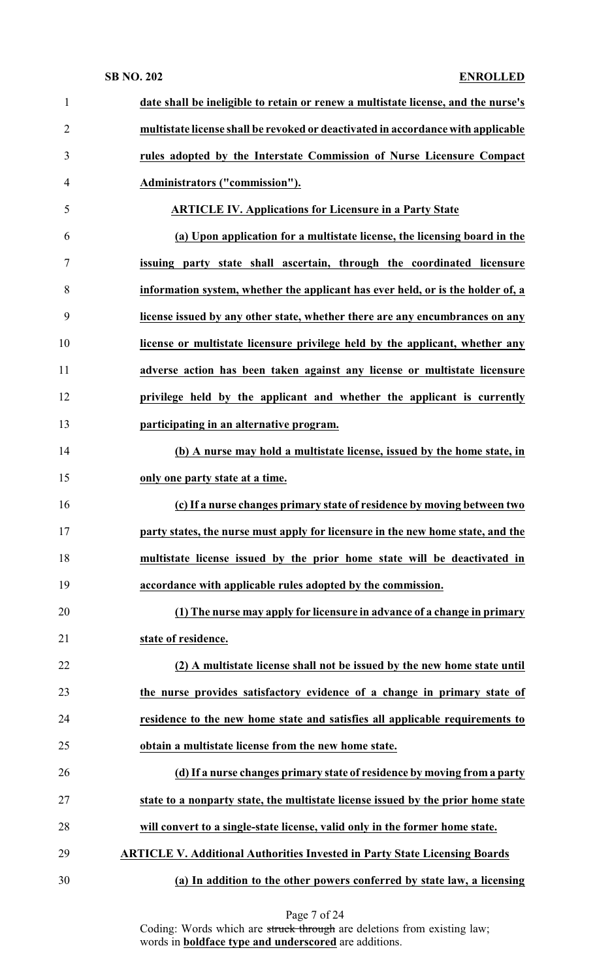| $\mathbf{1}$   | date shall be ineligible to retain or renew a multistate license, and the nurse's |
|----------------|-----------------------------------------------------------------------------------|
| $\overline{2}$ | multistate license shall be revoked or deactivated in accordance with applicable  |
| 3              | rules adopted by the Interstate Commission of Nurse Licensure Compact             |
| $\overline{4}$ | Administrators ("commission").                                                    |
| 5              | <b>ARTICLE IV. Applications for Licensure in a Party State</b>                    |
| 6              | (a) Upon application for a multistate license, the licensing board in the         |
| $\tau$         | issuing party state shall ascertain, through the coordinated licensure            |
| 8              | information system, whether the applicant has ever held, or is the holder of, a   |
| 9              | license issued by any other state, whether there are any encumbrances on any      |
| 10             | license or multistate licensure privilege held by the applicant, whether any      |
| 11             | adverse action has been taken against any license or multistate licensure         |
| 12             | privilege held by the applicant and whether the applicant is currently            |
| 13             | participating in an alternative program.                                          |
| 14             | (b) A nurse may hold a multistate license, issued by the home state, in           |
| 15             | only one party state at a time.                                                   |
| 16             | (c) If a nurse changes primary state of residence by moving between two           |
| 17             | party states, the nurse must apply for licensure in the new home state, and the   |
| 18             | multistate license issued by the prior home state will be deactivated in          |
| 19             | accordance with applicable rules adopted by the commission.                       |
| 20             | (1) The nurse may apply for licensure in advance of a change in primary           |
| 21             | state of residence.                                                               |
| 22             | (2) A multistate license shall not be issued by the new home state until          |
| 23             | the nurse provides satisfactory evidence of a change in primary state of          |
| 24             | residence to the new home state and satisfies all applicable requirements to      |
| 25             | obtain a multistate license from the new home state.                              |
| 26             | (d) If a nurse changes primary state of residence by moving from a party          |
| 27             | state to a nonparty state, the multistate license issued by the prior home state  |
| 28             | will convert to a single-state license, valid only in the former home state.      |
| 29             | <b>ARTICLE V. Additional Authorities Invested in Party State Licensing Boards</b> |
| 30             | (a) In addition to the other powers conferred by state law, a licensing           |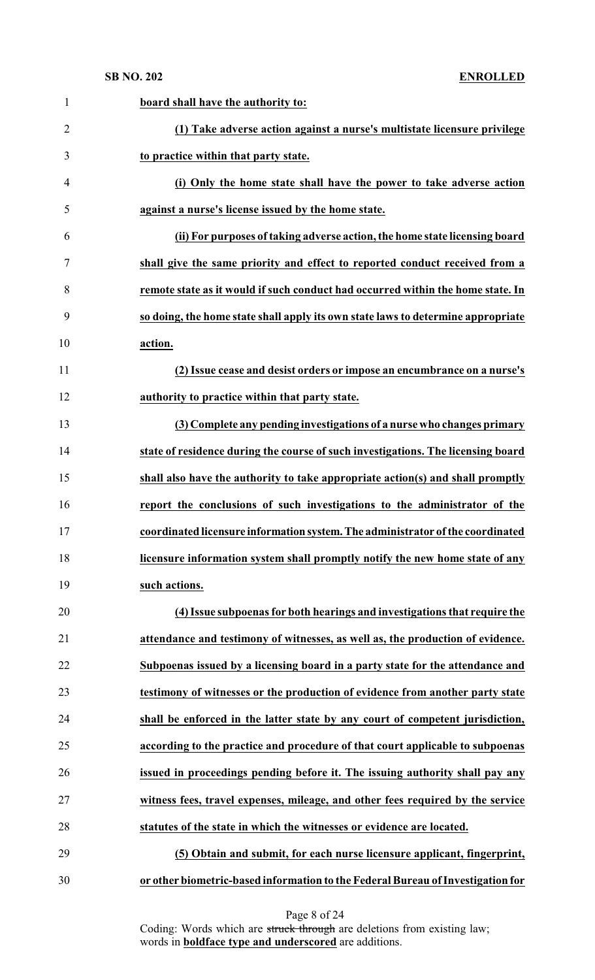### **SB NO. 202**

|  | <b>ENROLLED</b> |
|--|-----------------|
|  |                 |

| $\mathbf{1}$   | board shall have the authority to:                                               |
|----------------|----------------------------------------------------------------------------------|
| $\overline{2}$ | (1) Take adverse action against a nurse's multistate licensure privilege         |
| 3              | to practice within that party state.                                             |
| $\overline{4}$ | (i) Only the home state shall have the power to take adverse action              |
| 5              | against a nurse's license issued by the home state.                              |
| 6              | (ii) For purposes of taking adverse action, the home state licensing board       |
| $\tau$         | shall give the same priority and effect to reported conduct received from a      |
| 8              | remote state as it would if such conduct had occurred within the home state. In  |
| 9              | so doing, the home state shall apply its own state laws to determine appropriate |
| 10             | action.                                                                          |
| 11             | (2) Issue cease and desist orders or impose an encumbrance on a nurse's          |
| 12             | authority to practice within that party state.                                   |
| 13             | (3) Complete any pending investigations of a nurse who changes primary           |
| 14             | state of residence during the course of such investigations. The licensing board |
| 15             | shall also have the authority to take appropriate action(s) and shall promptly   |
| 16             | report the conclusions of such investigations to the administrator of the        |
| 17             | coordinated licensure information system. The administrator of the coordinated   |
| 18             | licensure information system shall promptly notify the new home state of any     |
| 19             | such actions.                                                                    |
| 20             | (4) Issue subpoenas for both hearings and investigations that require the        |
| 21             | attendance and testimony of witnesses, as well as, the production of evidence.   |
| 22             | Subpoenas issued by a licensing board in a party state for the attendance and    |
| 23             | testimony of witnesses or the production of evidence from another party state    |
| 24             | shall be enforced in the latter state by any court of competent jurisdiction,    |
| 25             | according to the practice and procedure of that court applicable to subpoenas    |
| 26             | issued in proceedings pending before it. The issuing authority shall pay any     |
| 27             | witness fees, travel expenses, mileage, and other fees required by the service   |
| 28             | statutes of the state in which the witnesses or evidence are located.            |
| 29             | (5) Obtain and submit, for each nurse licensure applicant, fingerprint,          |
| 30             | or other biometric-based information to the Federal Bureau of Investigation for  |

Page 8 of 24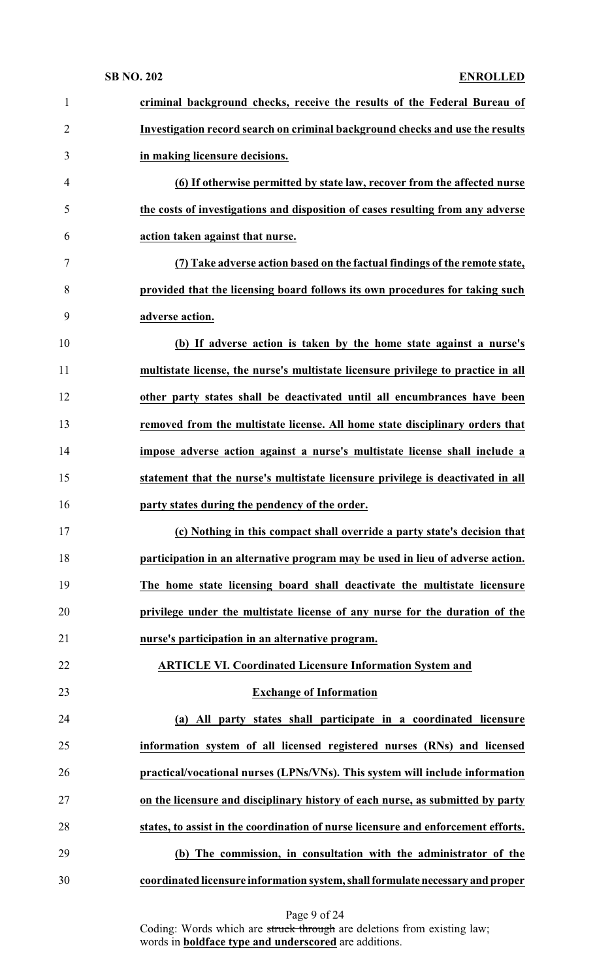| Investigation record search on criminal background checks and use the results<br>(6) If otherwise permitted by state law, recover from the affected nurse<br>the costs of investigations and disposition of cases resulting from any adverse<br>(7) Take adverse action based on the factual findings of the remote state,<br>provided that the licensing board follows its own procedures for taking such<br>(b) If adverse action is taken by the home state against a nurse's<br>multistate license, the nurse's multistate licensure privilege to practice in all<br>other party states shall be deactivated until all encumbrances have been<br>removed from the multistate license. All home state disciplinary orders that<br>impose adverse action against a nurse's multistate license shall include a<br>statement that the nurse's multistate licensure privilege is deactivated in all |
|----------------------------------------------------------------------------------------------------------------------------------------------------------------------------------------------------------------------------------------------------------------------------------------------------------------------------------------------------------------------------------------------------------------------------------------------------------------------------------------------------------------------------------------------------------------------------------------------------------------------------------------------------------------------------------------------------------------------------------------------------------------------------------------------------------------------------------------------------------------------------------------------------|
|                                                                                                                                                                                                                                                                                                                                                                                                                                                                                                                                                                                                                                                                                                                                                                                                                                                                                                    |
|                                                                                                                                                                                                                                                                                                                                                                                                                                                                                                                                                                                                                                                                                                                                                                                                                                                                                                    |
|                                                                                                                                                                                                                                                                                                                                                                                                                                                                                                                                                                                                                                                                                                                                                                                                                                                                                                    |
|                                                                                                                                                                                                                                                                                                                                                                                                                                                                                                                                                                                                                                                                                                                                                                                                                                                                                                    |
|                                                                                                                                                                                                                                                                                                                                                                                                                                                                                                                                                                                                                                                                                                                                                                                                                                                                                                    |
|                                                                                                                                                                                                                                                                                                                                                                                                                                                                                                                                                                                                                                                                                                                                                                                                                                                                                                    |
|                                                                                                                                                                                                                                                                                                                                                                                                                                                                                                                                                                                                                                                                                                                                                                                                                                                                                                    |
|                                                                                                                                                                                                                                                                                                                                                                                                                                                                                                                                                                                                                                                                                                                                                                                                                                                                                                    |
|                                                                                                                                                                                                                                                                                                                                                                                                                                                                                                                                                                                                                                                                                                                                                                                                                                                                                                    |
|                                                                                                                                                                                                                                                                                                                                                                                                                                                                                                                                                                                                                                                                                                                                                                                                                                                                                                    |
|                                                                                                                                                                                                                                                                                                                                                                                                                                                                                                                                                                                                                                                                                                                                                                                                                                                                                                    |
|                                                                                                                                                                                                                                                                                                                                                                                                                                                                                                                                                                                                                                                                                                                                                                                                                                                                                                    |
|                                                                                                                                                                                                                                                                                                                                                                                                                                                                                                                                                                                                                                                                                                                                                                                                                                                                                                    |
|                                                                                                                                                                                                                                                                                                                                                                                                                                                                                                                                                                                                                                                                                                                                                                                                                                                                                                    |
|                                                                                                                                                                                                                                                                                                                                                                                                                                                                                                                                                                                                                                                                                                                                                                                                                                                                                                    |
| (c) Nothing in this compact shall override a party state's decision that                                                                                                                                                                                                                                                                                                                                                                                                                                                                                                                                                                                                                                                                                                                                                                                                                           |
| participation in an alternative program may be used in lieu of adverse action.                                                                                                                                                                                                                                                                                                                                                                                                                                                                                                                                                                                                                                                                                                                                                                                                                     |
| The home state licensing board shall deactivate the multistate licensure                                                                                                                                                                                                                                                                                                                                                                                                                                                                                                                                                                                                                                                                                                                                                                                                                           |
| privilege under the multistate license of any nurse for the duration of the                                                                                                                                                                                                                                                                                                                                                                                                                                                                                                                                                                                                                                                                                                                                                                                                                        |
|                                                                                                                                                                                                                                                                                                                                                                                                                                                                                                                                                                                                                                                                                                                                                                                                                                                                                                    |
| <b>ARTICLE VI. Coordinated Licensure Information System and</b>                                                                                                                                                                                                                                                                                                                                                                                                                                                                                                                                                                                                                                                                                                                                                                                                                                    |
|                                                                                                                                                                                                                                                                                                                                                                                                                                                                                                                                                                                                                                                                                                                                                                                                                                                                                                    |
| (a) All party states shall participate in a coordinated licensure                                                                                                                                                                                                                                                                                                                                                                                                                                                                                                                                                                                                                                                                                                                                                                                                                                  |
| information system of all licensed registered nurses (RNs) and licensed                                                                                                                                                                                                                                                                                                                                                                                                                                                                                                                                                                                                                                                                                                                                                                                                                            |
| practical/vocational nurses (LPNs/VNs). This system will include information                                                                                                                                                                                                                                                                                                                                                                                                                                                                                                                                                                                                                                                                                                                                                                                                                       |
| on the licensure and disciplinary history of each nurse, as submitted by party                                                                                                                                                                                                                                                                                                                                                                                                                                                                                                                                                                                                                                                                                                                                                                                                                     |
| states, to assist in the coordination of nurse licensure and enforcement efforts.                                                                                                                                                                                                                                                                                                                                                                                                                                                                                                                                                                                                                                                                                                                                                                                                                  |
|                                                                                                                                                                                                                                                                                                                                                                                                                                                                                                                                                                                                                                                                                                                                                                                                                                                                                                    |
| (b) The commission, in consultation with the administrator of the                                                                                                                                                                                                                                                                                                                                                                                                                                                                                                                                                                                                                                                                                                                                                                                                                                  |
|                                                                                                                                                                                                                                                                                                                                                                                                                                                                                                                                                                                                                                                                                                                                                                                                                                                                                                    |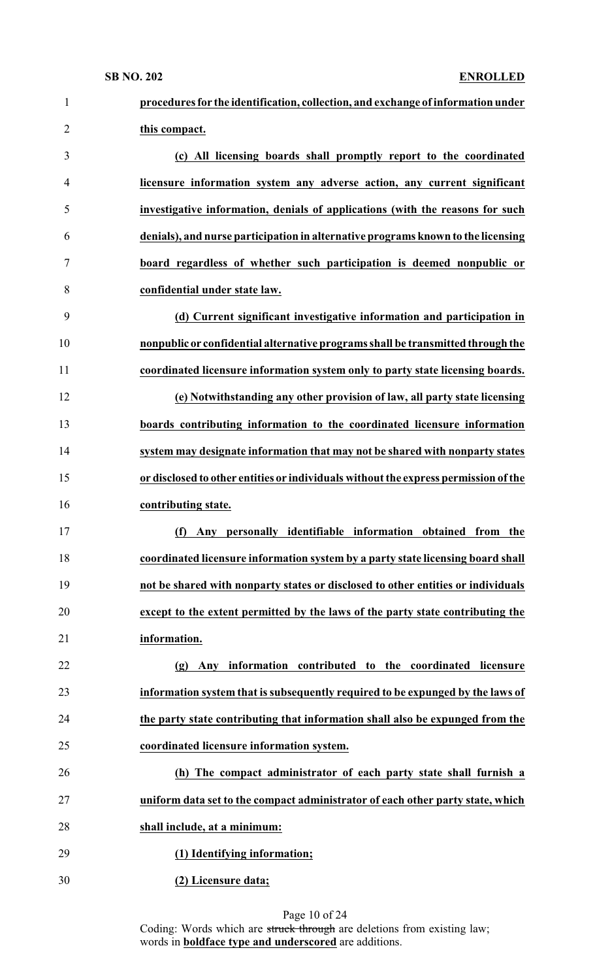| $\mathbf{1}$   | procedures for the identification, collection, and exchange of information under    |
|----------------|-------------------------------------------------------------------------------------|
| $\overline{2}$ | this compact.                                                                       |
| 3              | (c) All licensing boards shall promptly report to the coordinated                   |
| 4              | licensure information system any adverse action, any current significant            |
| 5              | investigative information, denials of applications (with the reasons for such       |
| 6              | denials), and nurse participation in alternative programs known to the licensing    |
| 7              | board regardless of whether such participation is deemed nonpublic or               |
| 8              | confidential under state law.                                                       |
| 9              | (d) Current significant investigative information and participation in              |
| 10             | nonpublic or confidential alternative programs shall be transmitted through the     |
| 11             | coordinated licensure information system only to party state licensing boards.      |
| 12             | (e) Notwithstanding any other provision of law, all party state licensing           |
| 13             | boards contributing information to the coordinated licensure information            |
| 14             | system may designate information that may not be shared with nonparty states        |
| 15             | or disclosed to other entities or individuals without the express permission of the |
| 16             | contributing state.                                                                 |
| 17             | personally identifiable information obtained from the<br>(f)<br>Any                 |
| 18             | coordinated licensure information system by a party state licensing board shall     |
| 19             | not be shared with nonparty states or disclosed to other entities or individuals    |
| 20             | except to the extent permitted by the laws of the party state contributing the      |
| 21             | information.                                                                        |
| 22             | Any information contributed to the coordinated licensure<br>(g)                     |
| 23             | information system that is subsequently required to be expunged by the laws of      |
| 24             | the party state contributing that information shall also be expunged from the       |
| 25             | coordinated licensure information system.                                           |
| 26             | (h) The compact administrator of each party state shall furnish a                   |
| 27             | uniform data set to the compact administrator of each other party state, which      |
| 28             | shall include, at a minimum:                                                        |
|                | (1) Identifying information;                                                        |
| 29             |                                                                                     |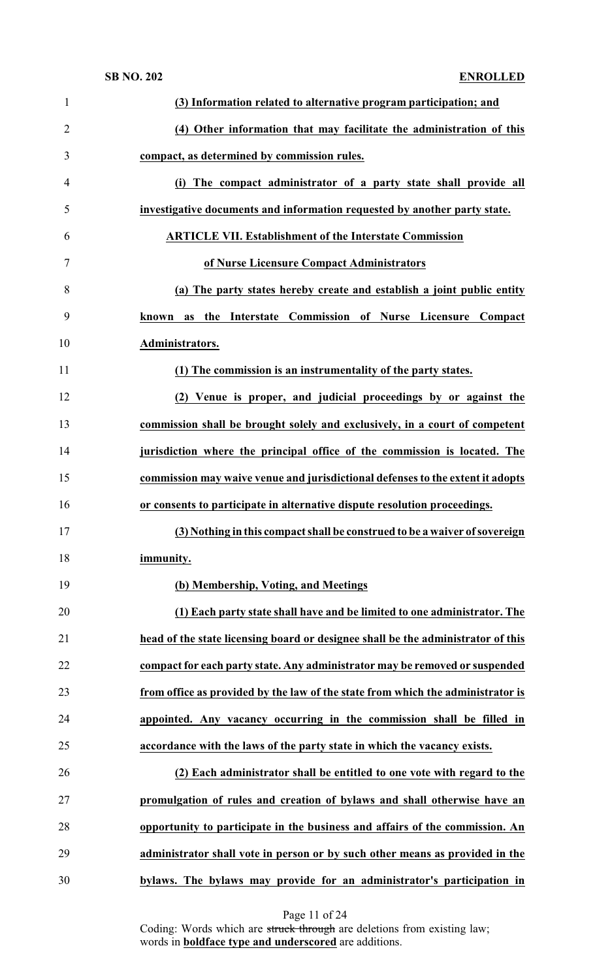| $\mathbf{1}$   | (3) Information related to alternative program participation; and                |
|----------------|----------------------------------------------------------------------------------|
| $\overline{2}$ | (4) Other information that may facilitate the administration of this             |
| 3              | compact, as determined by commission rules.                                      |
| 4              | (i) The compact administrator of a party state shall provide all                 |
| 5              | investigative documents and information requested by another party state.        |
| 6              | <b>ARTICLE VII. Establishment of the Interstate Commission</b>                   |
| 7              | of Nurse Licensure Compact Administrators                                        |
| 8              | (a) The party states hereby create and establish a joint public entity           |
| 9              | the Interstate Commission of Nurse Licensure Compact<br>known as                 |
| 10             | Administrators.                                                                  |
| 11             | (1) The commission is an instrumentality of the party states.                    |
| 12             | (2) Venue is proper, and judicial proceedings by or against the                  |
| 13             | commission shall be brought solely and exclusively, in a court of competent      |
| 14             | jurisdiction where the principal office of the commission is located. The        |
| 15             | commission may waive venue and jurisdictional defenses to the extent it adopts   |
| 16             | or consents to participate in alternative dispute resolution proceedings.        |
| 17             | (3) Nothing in this compact shall be construed to be a waiver of sovereign       |
| 18             | immunity.                                                                        |
| 19             | (b) Membership, Voting, and Meetings                                             |
| 20             | (1) Each party state shall have and be limited to one administrator. The         |
| 21             | head of the state licensing board or designee shall be the administrator of this |
| 22             | compact for each party state. Any administrator may be removed or suspended      |
| 23             | from office as provided by the law of the state from which the administrator is  |
| 24             | appointed. Any vacancy occurring in the commission shall be filled in            |
| 25             | accordance with the laws of the party state in which the vacancy exists.         |
| 26             | (2) Each administrator shall be entitled to one vote with regard to the          |
| 27             | promulgation of rules and creation of bylaws and shall otherwise have an         |
| 28             | opportunity to participate in the business and affairs of the commission. An     |
| 29             | administrator shall vote in person or by such other means as provided in the     |
| 30             | bylaws. The bylaws may provide for an administrator's participation in           |

Page 11 of 24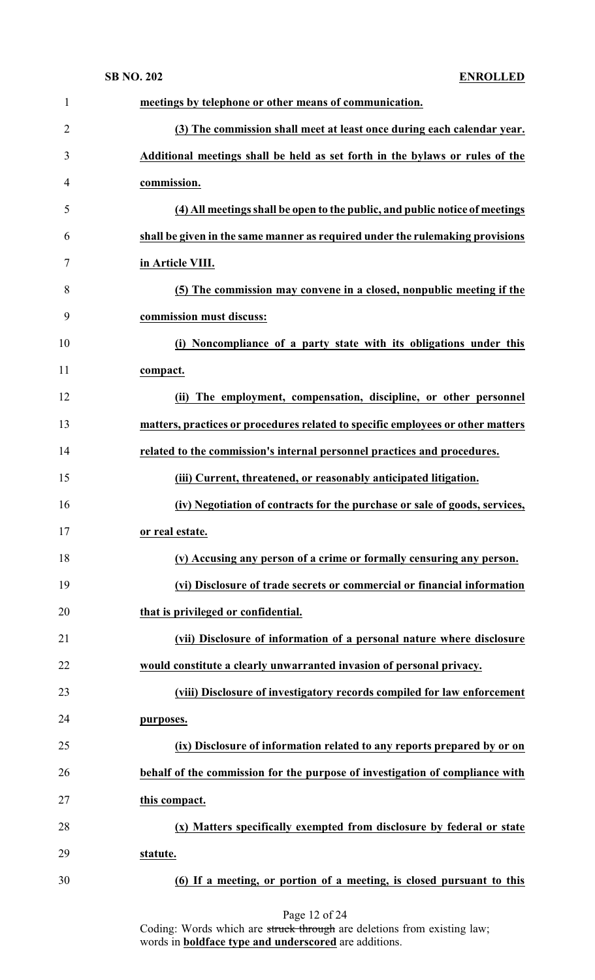| $\mathbf{1}$   | meetings by telephone or other means of communication.                          |
|----------------|---------------------------------------------------------------------------------|
| $\overline{2}$ | (3) The commission shall meet at least once during each calendar year.          |
| 3              | Additional meetings shall be held as set forth in the bylaws or rules of the    |
| $\overline{4}$ | commission.                                                                     |
| 5              | (4) All meetings shall be open to the public, and public notice of meetings     |
| 6              | shall be given in the same manner as required under the rulemaking provisions   |
| 7              | in Article VIII.                                                                |
| 8              | (5) The commission may convene in a closed, nonpublic meeting if the            |
| 9              | commission must discuss:                                                        |
| 10             | (i) Noncompliance of a party state with its obligations under this              |
| 11             | compact.                                                                        |
| 12             | (ii) The employment, compensation, discipline, or other personnel               |
| 13             | matters, practices or procedures related to specific employees or other matters |
| 14             | related to the commission's internal personnel practices and procedures.        |
| 15             | (iii) Current, threatened, or reasonably anticipated litigation.                |
| 16             | (iv) Negotiation of contracts for the purchase or sale of goods, services,      |
| 17             | or real estate.                                                                 |
| 18             | (v) Accusing any person of a crime or formally censuring any person.            |
| 19             | (vi) Disclosure of trade secrets or commercial or financial information         |
| 20             | that is privileged or confidential.                                             |
| 21             | (vii) Disclosure of information of a personal nature where disclosure           |
| 22             | would constitute a clearly unwarranted invasion of personal privacy.            |
| 23             | (viii) Disclosure of investigatory records compiled for law enforcement         |
| 24             | purposes.                                                                       |
| 25             | (ix) Disclosure of information related to any reports prepared by or on         |
| 26             | behalf of the commission for the purpose of investigation of compliance with    |
| 27             | this compact.                                                                   |
| 28             | (x) Matters specifically exempted from disclosure by federal or state           |
| 29             | statute.                                                                        |
| 30             | (6) If a meeting, or portion of a meeting, is closed pursuant to this           |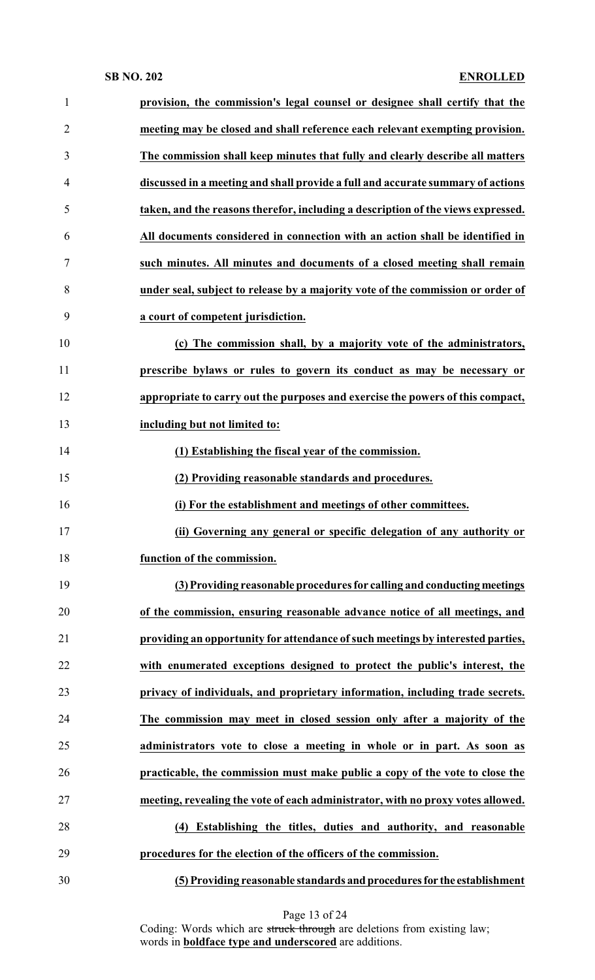| $\mathbf{1}$   | provision, the commission's legal counsel or designee shall certify that the     |
|----------------|----------------------------------------------------------------------------------|
| $\overline{2}$ | meeting may be closed and shall reference each relevant exempting provision.     |
| 3              | The commission shall keep minutes that fully and clearly describe all matters    |
| $\overline{4}$ | discussed in a meeting and shall provide a full and accurate summary of actions  |
| 5              | taken, and the reasons therefor, including a description of the views expressed. |
| 6              | All documents considered in connection with an action shall be identified in     |
| 7              | such minutes. All minutes and documents of a closed meeting shall remain         |
| 8              | under seal, subject to release by a majority vote of the commission or order of  |
| 9              | a court of competent jurisdiction.                                               |
| 10             | (c) The commission shall, by a majority vote of the administrators,              |
| 11             | prescribe bylaws or rules to govern its conduct as may be necessary or           |
| 12             | appropriate to carry out the purposes and exercise the powers of this compact,   |
| 13             | including but not limited to:                                                    |
| 14             | (1) Establishing the fiscal year of the commission.                              |
| 15             | (2) Providing reasonable standards and procedures.                               |
| 16             | (i) For the establishment and meetings of other committees.                      |
| 17             | (ii) Governing any general or specific delegation of any authority or            |
| 18             | function of the commission.                                                      |
| 19             | (3) Providing reasonable procedures for calling and conducting meetings          |
| 20             | of the commission, ensuring reasonable advance notice of all meetings, and       |
| 21             | providing an opportunity for attendance of such meetings by interested parties,  |
| 22             | with enumerated exceptions designed to protect the public's interest, the        |
| 23             | privacy of individuals, and proprietary information, including trade secrets.    |
| 24             | The commission may meet in closed session only after a majority of the           |
| 25             | administrators vote to close a meeting in whole or in part. As soon as           |
| 26             | practicable, the commission must make public a copy of the vote to close the     |
| 27             | meeting, revealing the vote of each administrator, with no proxy votes allowed.  |
| 28             | (4) Establishing the titles, duties and authority, and reasonable                |
| 29             | procedures for the election of the officers of the commission.                   |
| 30             | (5) Providing reasonable standards and procedures for the establishment          |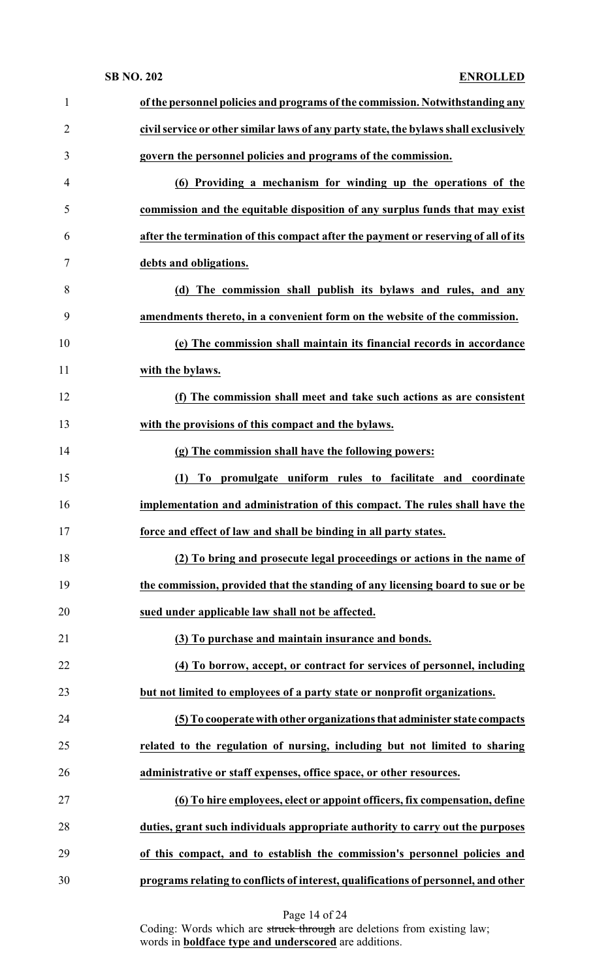| $\mathbf{1}$   | of the personnel policies and programs of the commission. Notwithstanding any        |
|----------------|--------------------------------------------------------------------------------------|
| $\overline{2}$ | civil service or other similar laws of any party state, the bylaws shall exclusively |
| 3              | govern the personnel policies and programs of the commission.                        |
| $\overline{4}$ | (6) Providing a mechanism for winding up the operations of the                       |
| 5              | commission and the equitable disposition of any surplus funds that may exist         |
| 6              | after the termination of this compact after the payment or reserving of all of its   |
| 7              | debts and obligations.                                                               |
| 8              | (d) The commission shall publish its bylaws and rules, and any                       |
| 9              | amendments thereto, in a convenient form on the website of the commission.           |
| 10             | (e) The commission shall maintain its financial records in accordance                |
| 11             | with the bylaws.                                                                     |
| 12             | (f) The commission shall meet and take such actions as are consistent                |
| 13             | with the provisions of this compact and the bylaws.                                  |
| 14             | (g) The commission shall have the following powers:                                  |
| 15             | To promulgate uniform rules to facilitate and coordinate<br>(1)                      |
| 16             | implementation and administration of this compact. The rules shall have the          |
| 17             | force and effect of law and shall be binding in all party states.                    |
| 18             | (2) To bring and prosecute legal proceedings or actions in the name of               |
| 19             | the commission, provided that the standing of any licensing board to sue or be       |
| 20             | sued under applicable law shall not be affected.                                     |
| 21             | (3) To purchase and maintain insurance and bonds.                                    |
| 22             | (4) To borrow, accept, or contract for services of personnel, including              |
| 23             | but not limited to employees of a party state or nonprofit organizations.            |
| 24             | (5) To cooperate with other organizations that administer state compacts             |
| 25             | related to the regulation of nursing, including but not limited to sharing           |
| 26             | administrative or staff expenses, office space, or other resources.                  |
| 27             | (6) To hire employees, elect or appoint officers, fix compensation, define           |
| 28             | duties, grant such individuals appropriate authority to carry out the purposes       |
| 29             | of this compact, and to establish the commission's personnel policies and            |
| 30             | programs relating to conflicts of interest, qualifications of personnel, and other   |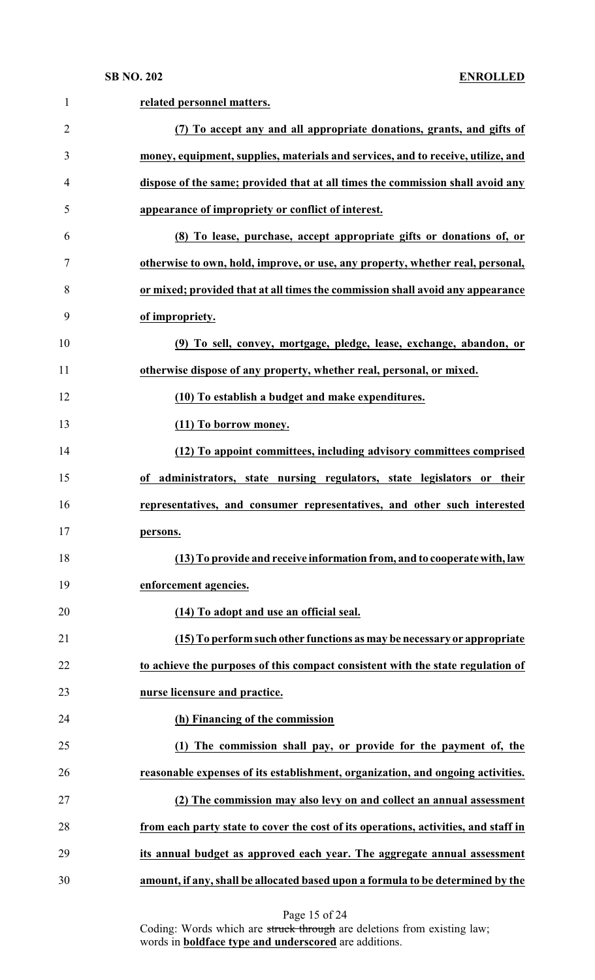| $\mathbf{1}$   | related personnel matters.                                                          |
|----------------|-------------------------------------------------------------------------------------|
| $\overline{2}$ | (7) To accept any and all appropriate donations, grants, and gifts of               |
| 3              | money, equipment, supplies, materials and services, and to receive, utilize, and    |
| 4              | dispose of the same; provided that at all times the commission shall avoid any      |
| 5              | appearance of impropriety or conflict of interest.                                  |
| 6              | (8) To lease, purchase, accept appropriate gifts or donations of, or                |
| 7              | otherwise to own, hold, improve, or use, any property, whether real, personal,      |
| 8              | or mixed; provided that at all times the commission shall avoid any appearance      |
| 9              | of impropriety.                                                                     |
| 10             | (9) To sell, convey, mortgage, pledge, lease, exchange, abandon, or                 |
| 11             | otherwise dispose of any property, whether real, personal, or mixed.                |
| 12             | (10) To establish a budget and make expenditures.                                   |
| 13             | (11) To borrow money.                                                               |
| 14             | (12) To appoint committees, including advisory committees comprised                 |
| 15             | of administrators, state nursing regulators, state legislators or their             |
| 16             | representatives, and consumer representatives, and other such interested            |
| 17             | persons.                                                                            |
| 18             | (13) To provide and receive information from, and to cooperate with, law            |
| 19             | enforcement agencies.                                                               |
| 20             | (14) To adopt and use an official seal.                                             |
| 21             | (15) To perform such other functions as may be necessary or appropriate             |
| 22             | to achieve the purposes of this compact consistent with the state regulation of     |
| 23             | nurse licensure and practice.                                                       |
| 24             | (h) Financing of the commission                                                     |
| 25             | (1) The commission shall pay, or provide for the payment of, the                    |
| 26             | reasonable expenses of its establishment, organization, and ongoing activities.     |
| 27             | (2) The commission may also levy on and collect an annual assessment                |
| 28             | from each party state to cover the cost of its operations, activities, and staff in |
| 29             | its annual budget as approved each year. The aggregate annual assessment            |
| 30             | amount, if any, shall be allocated based upon a formula to be determined by the     |

Page 15 of 24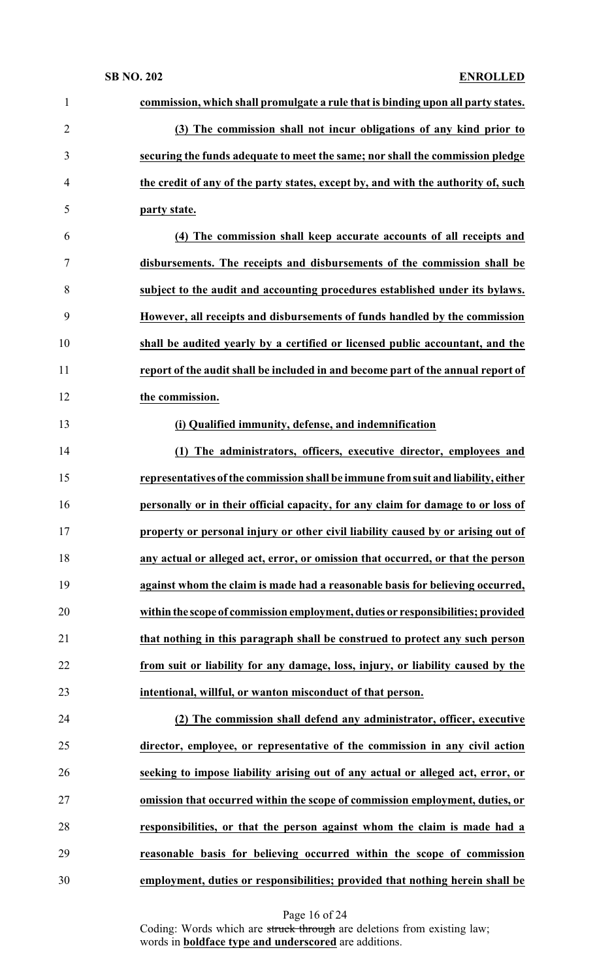| $\mathbf{1}$   | commission, which shall promulgate a rule that is binding upon all party states.  |
|----------------|-----------------------------------------------------------------------------------|
| $\overline{c}$ | (3) The commission shall not incur obligations of any kind prior to               |
| 3              | securing the funds adequate to meet the same; nor shall the commission pledge     |
| 4              | the credit of any of the party states, except by, and with the authority of, such |
| 5              | party state.                                                                      |
| 6              | (4) The commission shall keep accurate accounts of all receipts and               |
| 7              | disbursements. The receipts and disbursements of the commission shall be          |
| 8              | subject to the audit and accounting procedures established under its bylaws.      |
| 9              | However, all receipts and disbursements of funds handled by the commission        |
| 10             | shall be audited yearly by a certified or licensed public accountant, and the     |
| 11             | report of the audit shall be included in and become part of the annual report of  |
| 12             | the commission.                                                                   |
| 13             | (i) Qualified immunity, defense, and indemnification                              |
| 14             | (1) The administrators, officers, executive director, employees and               |
| 15             | representatives of the commission shall be immune from suit and liability, either |
| 16             | personally or in their official capacity, for any claim for damage to or loss of  |
| 17             | property or personal injury or other civil liability caused by or arising out of  |
| 18             | any actual or alleged act, error, or omission that occurred, or that the person   |
| 19             | against whom the claim is made had a reasonable basis for believing occurred,     |
| 20             | within the scope of commission employment, duties or responsibilities; provided   |
| 21             | that nothing in this paragraph shall be construed to protect any such person      |
| 22             | from suit or liability for any damage, loss, injury, or liability caused by the   |
| 23             | intentional, willful, or wanton misconduct of that person.                        |
| 24             | (2) The commission shall defend any administrator, officer, executive             |
| 25             | director, employee, or representative of the commission in any civil action       |
| 26             | seeking to impose liability arising out of any actual or alleged act, error, or   |
| 27             | omission that occurred within the scope of commission employment, duties, or      |
| 28             | responsibilities, or that the person against whom the claim is made had a         |
| 29             | reasonable basis for believing occurred within the scope of commission            |
| 30             | employment, duties or responsibilities; provided that nothing herein shall be     |

Page 16 of 24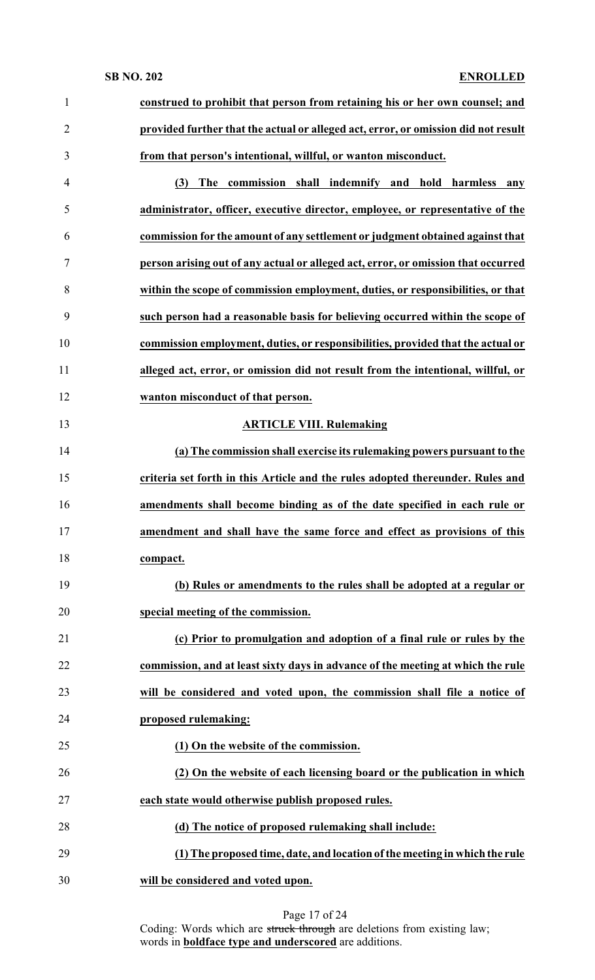| $\mathbf{1}$   | construed to prohibit that person from retaining his or her own counsel; and       |
|----------------|------------------------------------------------------------------------------------|
| $\overline{2}$ | provided further that the actual or alleged act, error, or omission did not result |
| 3              | from that person's intentional, willful, or wanton misconduct.                     |
| $\overline{4}$ | The commission shall indemnify and hold harmless<br>(3)<br>any                     |
| 5              | administrator, officer, executive director, employee, or representative of the     |
| 6              | commission for the amount of any settlement or judgment obtained against that      |
| 7              | person arising out of any actual or alleged act, error, or omission that occurred  |
| 8              | within the scope of commission employment, duties, or responsibilities, or that    |
| 9              | such person had a reasonable basis for believing occurred within the scope of      |
| 10             | commission employment, duties, or responsibilities, provided that the actual or    |
| 11             | alleged act, error, or omission did not result from the intentional, willful, or   |
| 12             | wanton misconduct of that person.                                                  |
| 13             | <b>ARTICLE VIII. Rulemaking</b>                                                    |
| 14             | (a) The commission shall exercise its rulemaking powers pursuant to the            |
| 15             | criteria set forth in this Article and the rules adopted thereunder. Rules and     |
| 16             | amendments shall become binding as of the date specified in each rule or           |
| 17             | amendment and shall have the same force and effect as provisions of this           |
| 18             | compact.                                                                           |
| 19             | (b) Rules or amendments to the rules shall be adopted at a regular or              |
| 20             | special meeting of the commission.                                                 |
| 21             | (c) Prior to promulgation and adoption of a final rule or rules by the             |
| 22             | commission, and at least sixty days in advance of the meeting at which the rule    |
| 23             | will be considered and voted upon, the commission shall file a notice of           |
| 24             | proposed rulemaking:                                                               |
| 25             | (1) On the website of the commission.                                              |
| 26             | (2) On the website of each licensing board or the publication in which             |
| 27             | each state would otherwise publish proposed rules.                                 |
| 28             | (d) The notice of proposed rulemaking shall include:                               |
| 29             | (1) The proposed time, date, and location of the meeting in which the rule         |
| 30             | will be considered and voted upon.                                                 |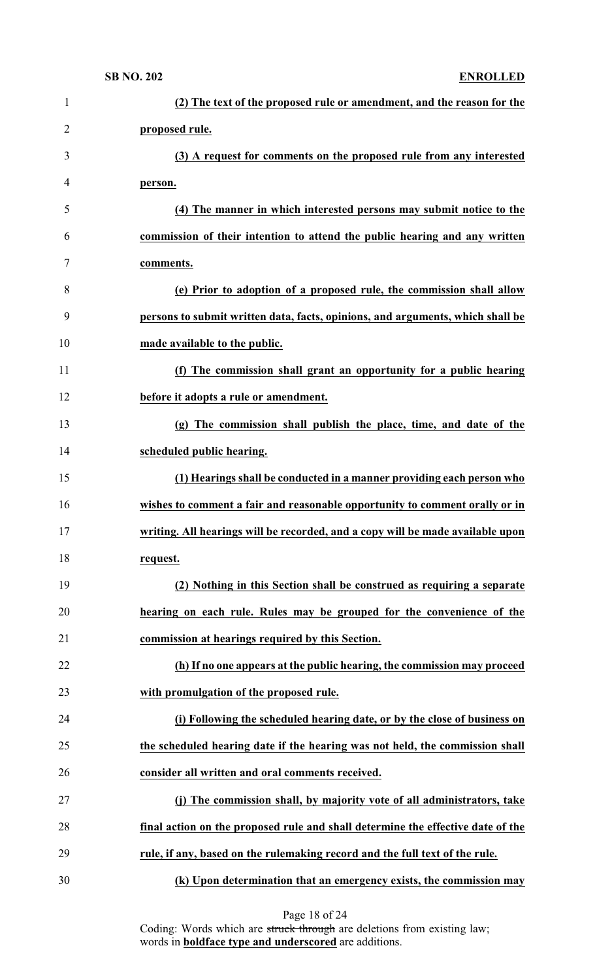| 1              | (2) The text of the proposed rule or amendment, and the reason for the          |
|----------------|---------------------------------------------------------------------------------|
| $\overline{2}$ | proposed rule.                                                                  |
| 3              | (3) A request for comments on the proposed rule from any interested             |
| 4              | person.                                                                         |
| 5              | (4) The manner in which interested persons may submit notice to the             |
| 6              | commission of their intention to attend the public hearing and any written      |
| 7              | comments.                                                                       |
| 8              | (e) Prior to adoption of a proposed rule, the commission shall allow            |
| 9              | persons to submit written data, facts, opinions, and arguments, which shall be  |
| 10             | made available to the public.                                                   |
| 11             | (f) The commission shall grant an opportunity for a public hearing              |
| 12             | before it adopts a rule or amendment.                                           |
| 13             | (g) The commission shall publish the place, time, and date of the               |
| 14             | scheduled public hearing.                                                       |
| 15             | (1) Hearings shall be conducted in a manner providing each person who           |
| 16             | wishes to comment a fair and reasonable opportunity to comment orally or in     |
| 17             | writing. All hearings will be recorded, and a copy will be made available upon  |
| 18             | request.                                                                        |
| 19             | (2) Nothing in this Section shall be construed as requiring a separate          |
| 20             | hearing on each rule. Rules may be grouped for the convenience of the           |
| 21             | commission at hearings required by this Section.                                |
| 22             | (h) If no one appears at the public hearing, the commission may proceed         |
| 23             | with promulgation of the proposed rule.                                         |
| 24             | (i) Following the scheduled hearing date, or by the close of business on        |
| 25             | the scheduled hearing date if the hearing was not held, the commission shall    |
| 26             | consider all written and oral comments received.                                |
| 27             | (j) The commission shall, by majority vote of all administrators, take          |
| 28             | final action on the proposed rule and shall determine the effective date of the |
| 29             | rule, if any, based on the rulemaking record and the full text of the rule.     |
| 30             | (k) Upon determination that an emergency exists, the commission may             |

Page 18 of 24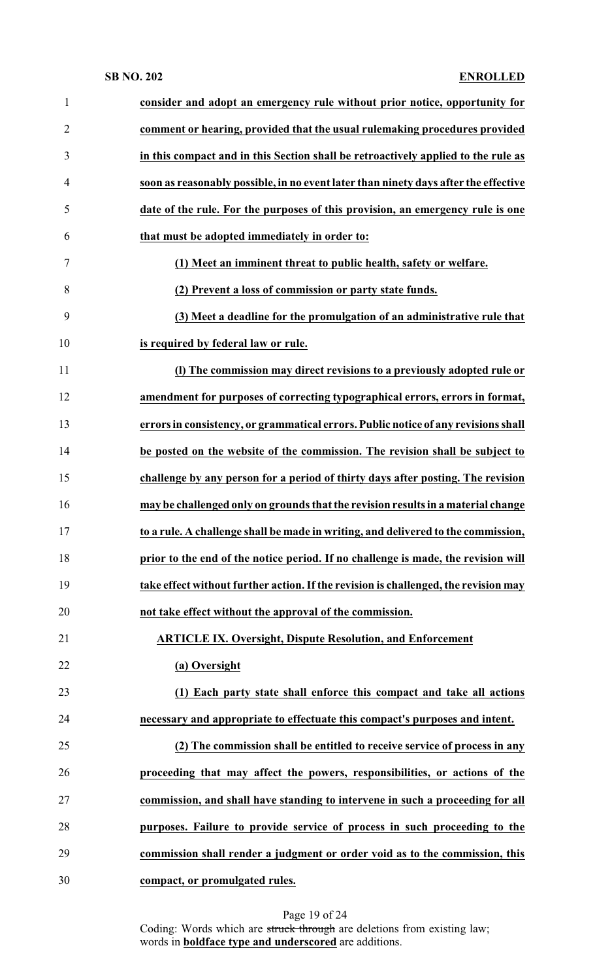| $\mathbf{1}$   | consider and adopt an emergency rule without prior notice, opportunity for          |
|----------------|-------------------------------------------------------------------------------------|
| $\overline{2}$ | comment or hearing, provided that the usual rulemaking procedures provided          |
| 3              | in this compact and in this Section shall be retroactively applied to the rule as   |
| $\overline{4}$ | soon as reasonably possible, in no event later than ninety days after the effective |
| 5              | date of the rule. For the purposes of this provision, an emergency rule is one      |
| 6              | that must be adopted immediately in order to:                                       |
| $\tau$         | (1) Meet an imminent threat to public health, safety or welfare.                    |
| 8              | (2) Prevent a loss of commission or party state funds.                              |
| 9              | (3) Meet a deadline for the promulgation of an administrative rule that             |
| 10             | is required by federal law or rule.                                                 |
| 11             | (I) The commission may direct revisions to a previously adopted rule or             |
| 12             | amendment for purposes of correcting typographical errors, errors in format,        |
| 13             | errors in consistency, or grammatical errors. Public notice of any revisions shall  |
| 14             | be posted on the website of the commission. The revision shall be subject to        |
| 15             | challenge by any person for a period of thirty days after posting. The revision     |
| 16             | may be challenged only on grounds that the revision results in a material change    |
| 17             | to a rule. A challenge shall be made in writing, and delivered to the commission,   |
| 18             | prior to the end of the notice period. If no challenge is made, the revision will   |
| 19             | take effect without further action. If the revision is challenged, the revision may |
| 20             | not take effect without the approval of the commission.                             |
| 21             | <b>ARTICLE IX. Oversight, Dispute Resolution, and Enforcement</b>                   |
| 22             | (a) Oversight                                                                       |
| 23             | (1) Each party state shall enforce this compact and take all actions                |
| 24             | necessary and appropriate to effectuate this compact's purposes and intent.         |
| 25             | (2) The commission shall be entitled to receive service of process in any           |
| 26             | proceeding that may affect the powers, responsibilities, or actions of the          |
| 27             | commission, and shall have standing to intervene in such a proceeding for all       |
| 28             | purposes. Failure to provide service of process in such proceeding to the           |
| 29             | commission shall render a judgment or order void as to the commission, this         |
| 30             | compact, or promulgated rules.                                                      |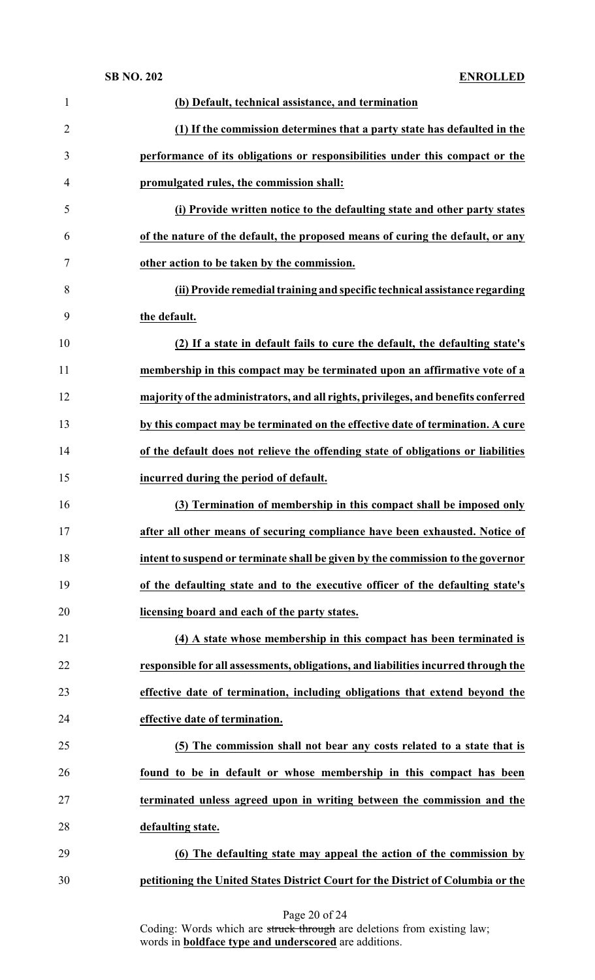| $\mathbf{1}$   | (b) Default, technical assistance, and termination                                 |
|----------------|------------------------------------------------------------------------------------|
| $\overline{2}$ | (1) If the commission determines that a party state has defaulted in the           |
| 3              | performance of its obligations or responsibilities under this compact or the       |
| $\overline{4}$ | promulgated rules, the commission shall:                                           |
| 5              | (i) Provide written notice to the defaulting state and other party states          |
| 6              | of the nature of the default, the proposed means of curing the default, or any     |
| 7              | other action to be taken by the commission.                                        |
| 8              | (ii) Provide remedial training and specific technical assistance regarding         |
| 9              | the default.                                                                       |
| 10             | (2) If a state in default fails to cure the default, the defaulting state's        |
| 11             | membership in this compact may be terminated upon an affirmative vote of a         |
| 12             | majority of the administrators, and all rights, privileges, and benefits conferred |
| 13             | by this compact may be terminated on the effective date of termination. A cure     |
| 14             | of the default does not relieve the offending state of obligations or liabilities  |
| 15             | incurred during the period of default.                                             |
| 16             | (3) Termination of membership in this compact shall be imposed only                |
| 17             | after all other means of securing compliance have been exhausted. Notice of        |
| 18             | intent to suspend or terminate shall be given by the commission to the governor    |
| 19             | of the defaulting state and to the executive officer of the defaulting state's     |
| 20             | licensing board and each of the party states.                                      |
| 21             | (4) A state whose membership in this compact has been terminated is                |
| 22             | responsible for all assessments, obligations, and liabilities incurred through the |
| 23             | effective date of termination, including obligations that extend beyond the        |
| 24             | effective date of termination.                                                     |
| 25             | (5) The commission shall not bear any costs related to a state that is             |
| 26             | found to be in default or whose membership in this compact has been                |
| 27             | terminated unless agreed upon in writing between the commission and the            |
| 28             | defaulting state.                                                                  |
| 29             | (6) The defaulting state may appeal the action of the commission by                |
| 30             | petitioning the United States District Court for the District of Columbia or the   |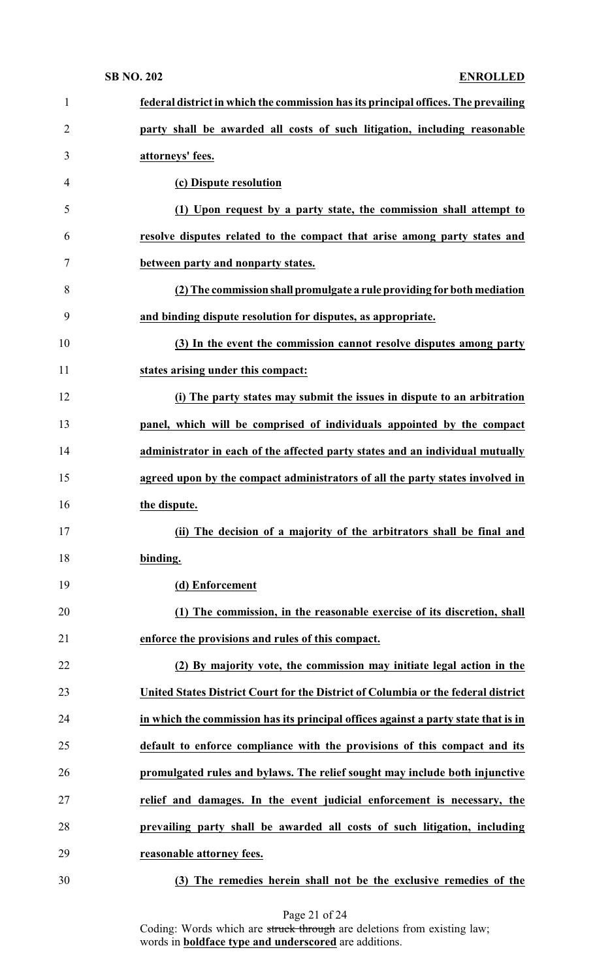| 1              | federal district in which the commission has its principal offices. The prevailing |
|----------------|------------------------------------------------------------------------------------|
| $\overline{2}$ | party shall be awarded all costs of such litigation, including reasonable          |
| 3              | attorneys' fees.                                                                   |
| 4              | (c) Dispute resolution                                                             |
| 5              | (1) Upon request by a party state, the commission shall attempt to                 |
| 6              | resolve disputes related to the compact that arise among party states and          |
| 7              | between party and nonparty states.                                                 |
| 8              | (2) The commission shall promulgate a rule providing for both mediation            |
| 9              | and binding dispute resolution for disputes, as appropriate.                       |
| 10             | (3) In the event the commission cannot resolve disputes among party                |
| 11             | states arising under this compact:                                                 |
| 12             | (i) The party states may submit the issues in dispute to an arbitration            |
| 13             | panel, which will be comprised of individuals appointed by the compact             |
| 14             | administrator in each of the affected party states and an individual mutually      |
| 15             | agreed upon by the compact administrators of all the party states involved in      |
| 16             | the dispute.                                                                       |
| 17             | (ii) The decision of a majority of the arbitrators shall be final and              |
| 18             | binding.                                                                           |
| 19             | (d) Enforcement                                                                    |
| 20             | (1) The commission, in the reasonable exercise of its discretion, shall            |
| 21             | enforce the provisions and rules of this compact.                                  |
| 22             | (2) By majority vote, the commission may initiate legal action in the              |
| 23             | United States District Court for the District of Columbia or the federal district  |
| 24             | in which the commission has its principal offices against a party state that is in |
| 25             | default to enforce compliance with the provisions of this compact and its          |
| 26             | promulgated rules and bylaws. The relief sought may include both injunctive        |
| 27             | relief and damages. In the event judicial enforcement is necessary, the            |
| 28             | prevailing party shall be awarded all costs of such litigation, including          |
| 29             | reasonable attorney fees.                                                          |
| 30             | (3) The remedies herein shall not be the exclusive remedies of the                 |

Page 21 of 24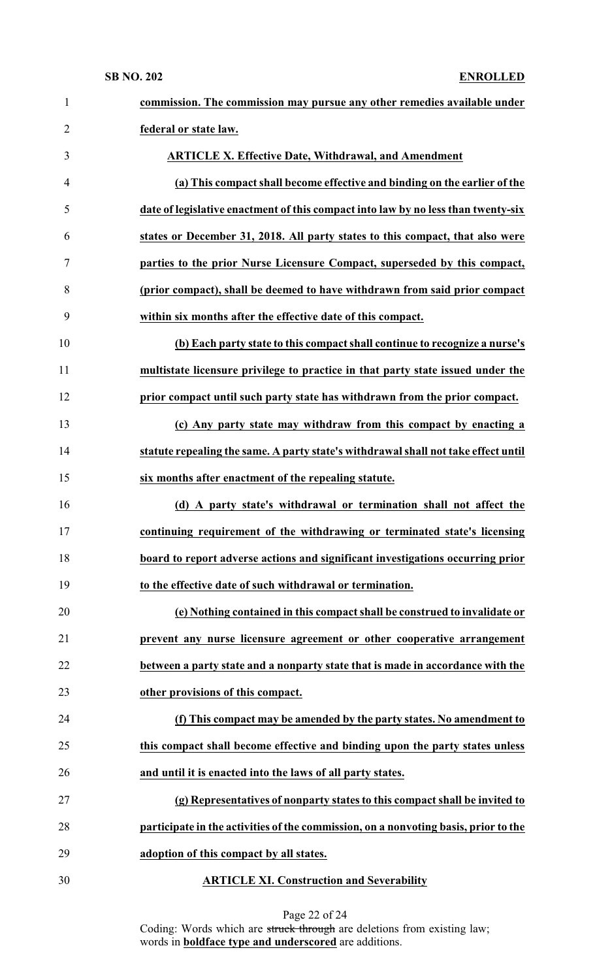| $\mathbf{1}$   | commission. The commission may pursue any other remedies available under            |
|----------------|-------------------------------------------------------------------------------------|
| $\overline{2}$ | federal or state law.                                                               |
| 3              | <b>ARTICLE X. Effective Date, Withdrawal, and Amendment</b>                         |
| $\overline{4}$ | (a) This compact shall become effective and binding on the earlier of the           |
| 5              | date of legislative enactment of this compact into law by no less than twenty-six   |
| 6              | states or December 31, 2018. All party states to this compact, that also were       |
| 7              | parties to the prior Nurse Licensure Compact, superseded by this compact,           |
| 8              | (prior compact), shall be deemed to have withdrawn from said prior compact          |
| 9              | within six months after the effective date of this compact.                         |
| 10             | (b) Each party state to this compact shall continue to recognize a nurse's          |
| 11             | multistate licensure privilege to practice in that party state issued under the     |
| 12             | prior compact until such party state has withdrawn from the prior compact.          |
| 13             | (c) Any party state may withdraw from this compact by enacting a                    |
| 14             | statute repealing the same. A party state's withdrawal shall not take effect until  |
| 15             | six months after enactment of the repealing statute.                                |
| 16             | (d) A party state's withdrawal or termination shall not affect the                  |
| 17             | continuing requirement of the withdrawing or terminated state's licensing           |
| 18             | board to report adverse actions and significant investigations occurring prior      |
| 19             | to the effective date of such withdrawal or termination.                            |
| 20             | (e) Nothing contained in this compact shall be construed to invalidate or           |
| 21             | prevent any nurse licensure agreement or other cooperative arrangement              |
| 22             | between a party state and a nonparty state that is made in accordance with the      |
| 23             | other provisions of this compact.                                                   |
| 24             | (f) This compact may be amended by the party states. No amendment to                |
| 25             | this compact shall become effective and binding upon the party states unless        |
| 26             | and until it is enacted into the laws of all party states.                          |
| 27             | (g) Representatives of nonparty states to this compact shall be invited to          |
| 28             | participate in the activities of the commission, on a nonvoting basis, prior to the |
| 29             | adoption of this compact by all states.                                             |
| 30             | <b>ARTICLE XI. Construction and Severability</b>                                    |

Page 22 of 24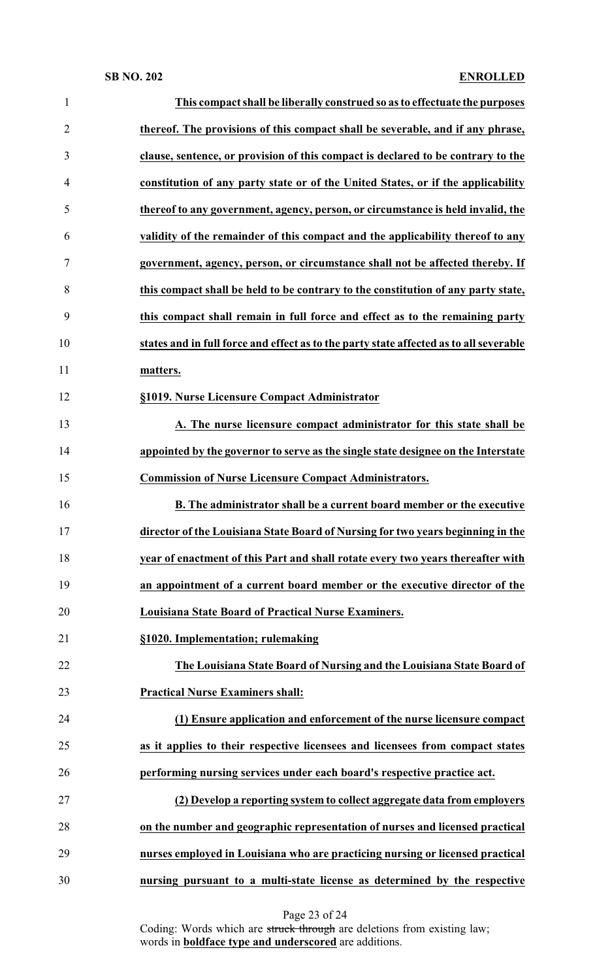| $\mathbf{1}$   | This compact shall be liberally construed so as to effectuate the purposes             |
|----------------|----------------------------------------------------------------------------------------|
| $\overline{2}$ | thereof. The provisions of this compact shall be severable, and if any phrase,         |
| 3              | clause, sentence, or provision of this compact is declared to be contrary to the       |
| 4              | constitution of any party state or of the United States, or if the applicability       |
| 5              | thereof to any government, agency, person, or circumstance is held invalid, the        |
| 6              | validity of the remainder of this compact and the applicability thereof to any         |
| 7              | government, agency, person, or circumstance shall not be affected thereby. If          |
| 8              | this compact shall be held to be contrary to the constitution of any party state,      |
| 9              | this compact shall remain in full force and effect as to the remaining party           |
| 10             | states and in full force and effect as to the party state affected as to all severable |
| 11             | matters.                                                                               |
| 12             | §1019. Nurse Licensure Compact Administrator                                           |
| 13             | A. The nurse licensure compact administrator for this state shall be                   |
| 14             | appointed by the governor to serve as the single state designee on the Interstate      |
| 15             | <b>Commission of Nurse Licensure Compact Administrators.</b>                           |
| 16             | B. The administrator shall be a current board member or the executive                  |
| 17             | director of the Louisiana State Board of Nursing for two years beginning in the        |
| 18             | year of enactment of this Part and shall rotate every two years thereafter with        |
| 19             | an appointment of a current board member or the executive director of the              |
| 20             | Louisiana State Board of Practical Nurse Examiners.                                    |
| 21             | §1020. Implementation; rulemaking                                                      |
| 22             | The Louisiana State Board of Nursing and the Louisiana State Board of                  |
| 23             | <b>Practical Nurse Examiners shall:</b>                                                |
| 24             | (1) Ensure application and enforcement of the nurse licensure compact                  |
| 25             | as it applies to their respective licensees and licensees from compact states          |
| 26             | performing nursing services under each board's respective practice act.                |
| 27             | (2) Develop a reporting system to collect aggregate data from employers                |
| 28             | on the number and geographic representation of nurses and licensed practical           |
| 29             | nurses employed in Louisiana who are practicing nursing or licensed practical          |
| 30             | nursing pursuant to a multi-state license as determined by the respective              |

Page 23 of 24